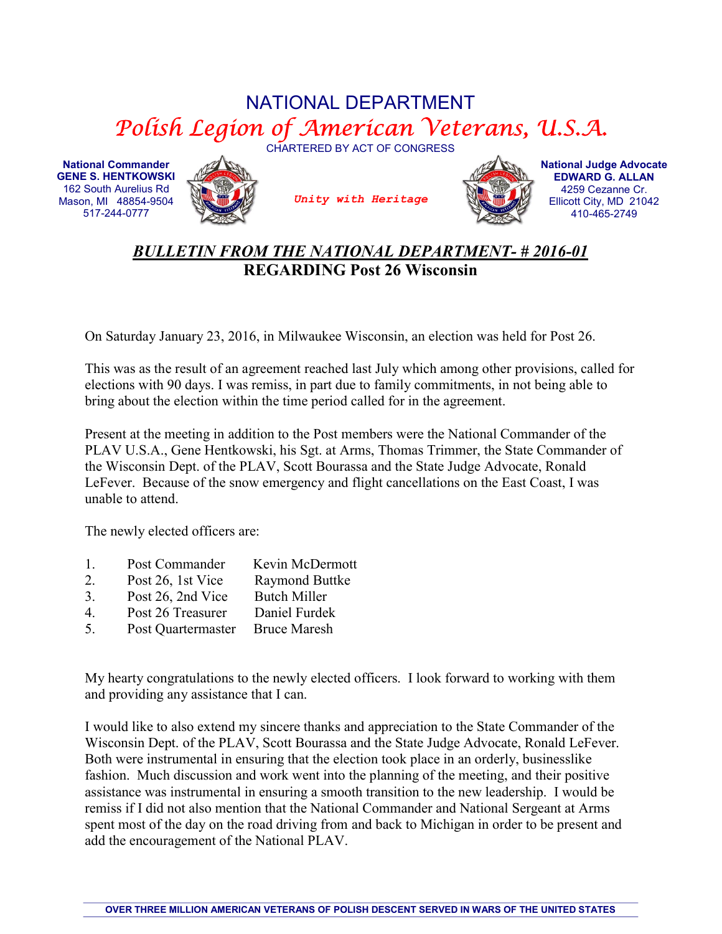## NATIONAL DEPARTMENT Polish Legion of American Veterans, U.S.A.

CHARTERED BY ACT OF CONGRESS

National Commander GENE S. HENTKOWSKI 162 South Aurelius Rd Mason, MI 48854-9504 517-244-0777



Unity with Heritage



National Judge Advocate EDWARD G. ALLAN 4259 Cezanne Cr. Ellicott City, MD 21042 410-465-2749

## BULLETIN FROM THE NATIONAL DEPARTMENT- # 2016-01 REGARDING Post 26 Wisconsin

On Saturday January 23, 2016, in Milwaukee Wisconsin, an election was held for Post 26.

This was as the result of an agreement reached last July which among other provisions, called for elections with 90 days. I was remiss, in part due to family commitments, in not being able to bring about the election within the time period called for in the agreement.

Present at the meeting in addition to the Post members were the National Commander of the PLAV U.S.A., Gene Hentkowski, his Sgt. at Arms, Thomas Trimmer, the State Commander of the Wisconsin Dept. of the PLAV, Scott Bourassa and the State Judge Advocate, Ronald LeFever. Because of the snow emergency and flight cancellations on the East Coast, I was unable to attend.

The newly elected officers are:

- 1. Post Commander Kevin McDermott
- 2. Post 26, 1st Vice Raymond Buttke
- 3. Post 26, 2nd Vice Butch Miller
- 4. Post 26 Treasurer Daniel Furdek
- 5. Post Quartermaster Bruce Maresh

My hearty congratulations to the newly elected officers. I look forward to working with them and providing any assistance that I can.

I would like to also extend my sincere thanks and appreciation to the State Commander of the Wisconsin Dept. of the PLAV, Scott Bourassa and the State Judge Advocate, Ronald LeFever. Both were instrumental in ensuring that the election took place in an orderly, businesslike fashion. Much discussion and work went into the planning of the meeting, and their positive assistance was instrumental in ensuring a smooth transition to the new leadership. I would be remiss if I did not also mention that the National Commander and National Sergeant at Arms spent most of the day on the road driving from and back to Michigan in order to be present and add the encouragement of the National PLAV.